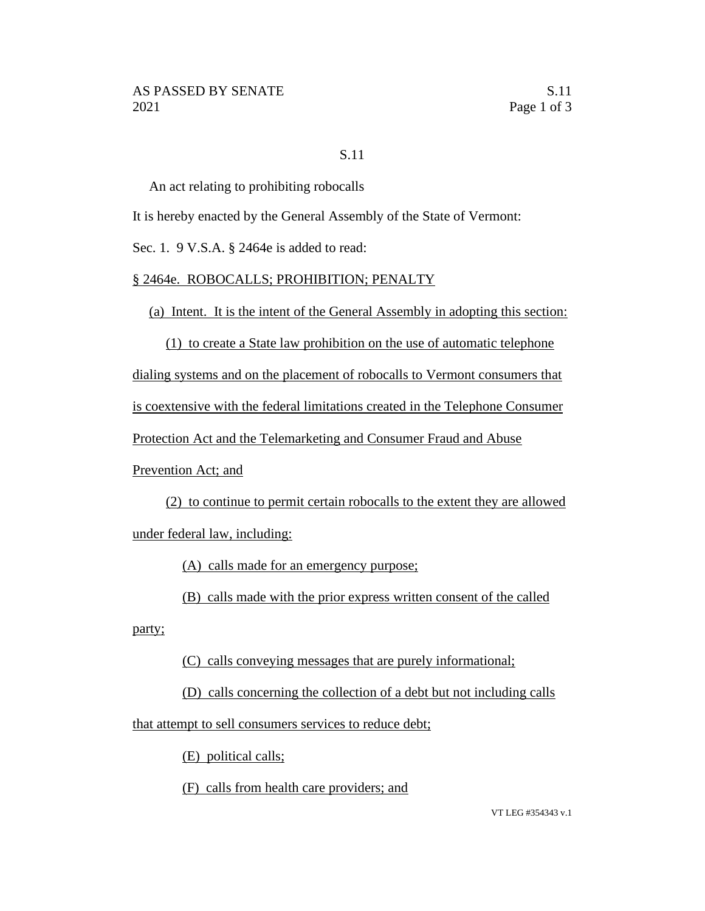## S.11

An act relating to prohibiting robocalls

It is hereby enacted by the General Assembly of the State of Vermont:

Sec. 1. 9 V.S.A. § 2464e is added to read:

## § 2464e. ROBOCALLS; PROHIBITION; PENALTY

(a) Intent. It is the intent of the General Assembly in adopting this section:

(1) to create a State law prohibition on the use of automatic telephone

dialing systems and on the placement of robocalls to Vermont consumers that

is coextensive with the federal limitations created in the Telephone Consumer

Protection Act and the Telemarketing and Consumer Fraud and Abuse

Prevention Act; and

(2) to continue to permit certain robocalls to the extent they are allowed under federal law, including:

(A) calls made for an emergency purpose;

(B) calls made with the prior express written consent of the called

party;

(C) calls conveying messages that are purely informational;

(D) calls concerning the collection of a debt but not including calls that attempt to sell consumers services to reduce debt;

(E) political calls;

(F) calls from health care providers; and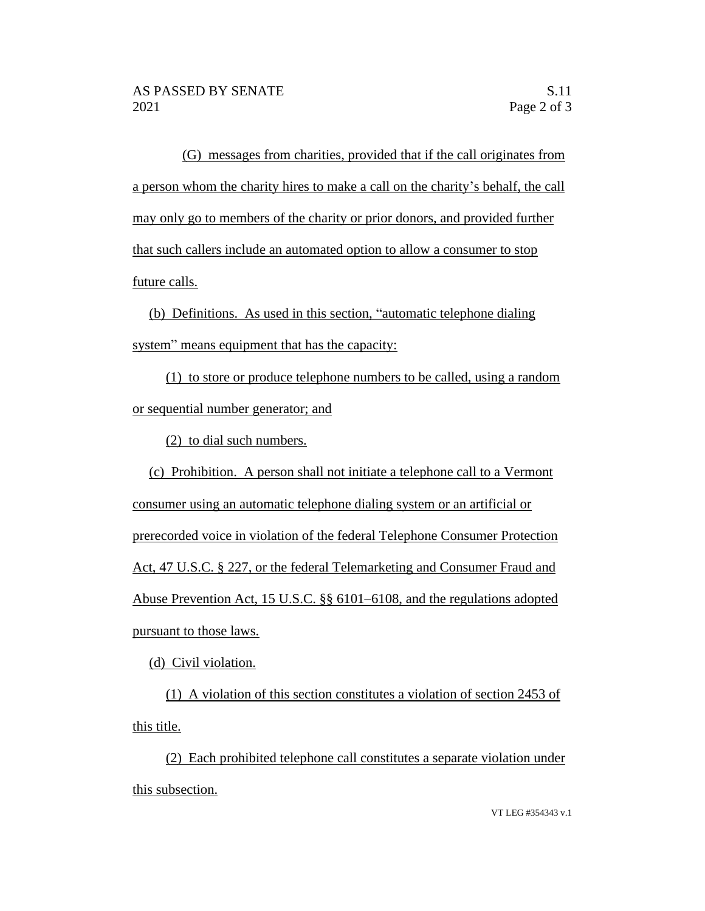(G) messages from charities, provided that if the call originates from a person whom the charity hires to make a call on the charity's behalf, the call may only go to members of the charity or prior donors, and provided further that such callers include an automated option to allow a consumer to stop future calls.

(b) Definitions. As used in this section, "automatic telephone dialing system" means equipment that has the capacity:

(1) to store or produce telephone numbers to be called, using a random or sequential number generator; and

(2) to dial such numbers.

(c) Prohibition. A person shall not initiate a telephone call to a Vermont consumer using an automatic telephone dialing system or an artificial or prerecorded voice in violation of the federal Telephone Consumer Protection Act, 47 U.S.C. § 227, or the federal Telemarketing and Consumer Fraud and Abuse Prevention Act, 15 U.S.C. §§ 6101–6108, and the regulations adopted pursuant to those laws.

(d) Civil violation.

(1) A violation of this section constitutes a violation of section 2453 of this title.

(2) Each prohibited telephone call constitutes a separate violation under this subsection.